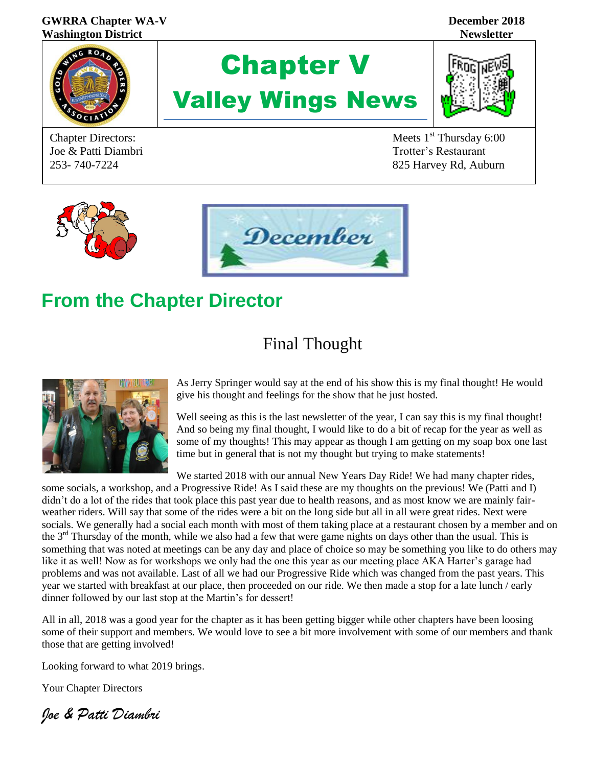#### **GWRRA Chapter WA-V December 2018 Washington District Newsletter**



Joe & Patti Diambri Trotter's Restaurant

# Chapter V Valley Wings News



Chapter Directors: Meets 1<sup>st</sup> Thursday 6:00 253- 740-7224 825 Harvey Rd, Auburn



## **From the Chapter Director**

### Final Thought



As Jerry Springer would say at the end of his show this is my final thought! He would give his thought and feelings for the show that he just hosted.

Well seeing as this is the last newsletter of the year, I can say this is my final thought! And so being my final thought, I would like to do a bit of recap for the year as well as some of my thoughts! This may appear as though I am getting on my soap box one last time but in general that is not my thought but trying to make statements!

We started 2018 with our annual New Years Day Ride! We had many chapter rides,

some socials, a workshop, and a Progressive Ride! As I said these are my thoughts on the previous! We (Patti and I) didn't do a lot of the rides that took place this past year due to health reasons, and as most know we are mainly fairweather riders. Will say that some of the rides were a bit on the long side but all in all were great rides. Next were socials. We generally had a social each month with most of them taking place at a restaurant chosen by a member and on the 3<sup>rd</sup> Thursday of the month, while we also had a few that were game nights on days other than the usual. This is something that was noted at meetings can be any day and place of choice so may be something you like to do others may like it as well! Now as for workshops we only had the one this year as our meeting place AKA Harter's garage had problems and was not available. Last of all we had our Progressive Ride which was changed from the past years. This year we started with breakfast at our place, then proceeded on our ride. We then made a stop for a late lunch / early dinner followed by our last stop at the Martin's for dessert!

All in all, 2018 was a good year for the chapter as it has been getting bigger while other chapters have been loosing some of their support and members. We would love to see a bit more involvement with some of our members and thank those that are getting involved!

Looking forward to what 2019 brings.

Your Chapter Directors

Joe & Patti Diambri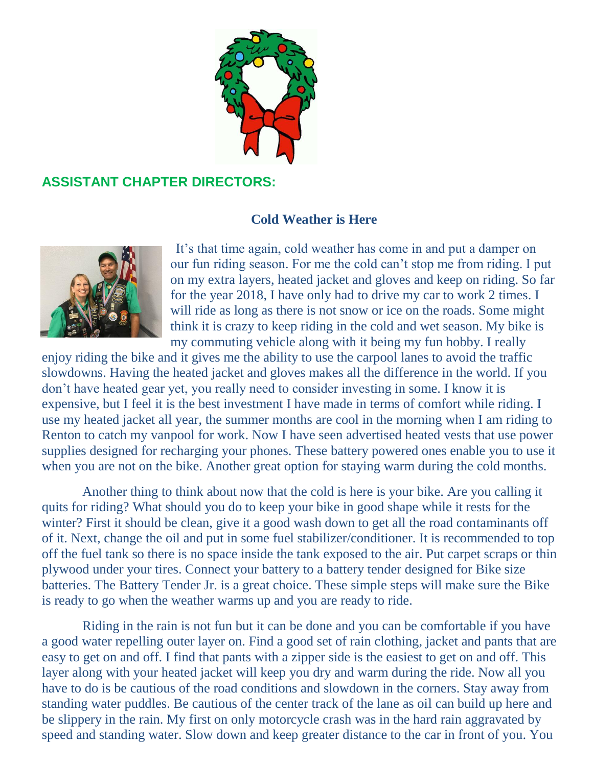

### **ASSISTANT CHAPTER DIRECTORS:**

### **Cold Weather is Here**



 It's that time again, cold weather has come in and put a damper on our fun riding season. For me the cold can't stop me from riding. I put on my extra layers, heated jacket and gloves and keep on riding. So far for the year 2018, I have only had to drive my car to work 2 times. I will ride as long as there is not snow or ice on the roads. Some might think it is crazy to keep riding in the cold and wet season. My bike is my commuting vehicle along with it being my fun hobby. I really

enjoy riding the bike and it gives me the ability to use the carpool lanes to avoid the traffic slowdowns. Having the heated jacket and gloves makes all the difference in the world. If you don't have heated gear yet, you really need to consider investing in some. I know it is expensive, but I feel it is the best investment I have made in terms of comfort while riding. I use my heated jacket all year, the summer months are cool in the morning when I am riding to Renton to catch my vanpool for work. Now I have seen advertised heated vests that use power supplies designed for recharging your phones. These battery powered ones enable you to use it when you are not on the bike. Another great option for staying warm during the cold months.

 Another thing to think about now that the cold is here is your bike. Are you calling it quits for riding? What should you do to keep your bike in good shape while it rests for the winter? First it should be clean, give it a good wash down to get all the road contaminants off of it. Next, change the oil and put in some fuel stabilizer/conditioner. It is recommended to top off the fuel tank so there is no space inside the tank exposed to the air. Put carpet scraps or thin plywood under your tires. Connect your battery to a battery tender designed for Bike size batteries. The Battery Tender Jr. is a great choice. These simple steps will make sure the Bike is ready to go when the weather warms up and you are ready to ride.

 Riding in the rain is not fun but it can be done and you can be comfortable if you have a good water repelling outer layer on. Find a good set of rain clothing, jacket and pants that are easy to get on and off. I find that pants with a zipper side is the easiest to get on and off. This layer along with your heated jacket will keep you dry and warm during the ride. Now all you have to do is be cautious of the road conditions and slowdown in the corners. Stay away from standing water puddles. Be cautious of the center track of the lane as oil can build up here and be slippery in the rain. My first on only motorcycle crash was in the hard rain aggravated by speed and standing water. Slow down and keep greater distance to the car in front of you. You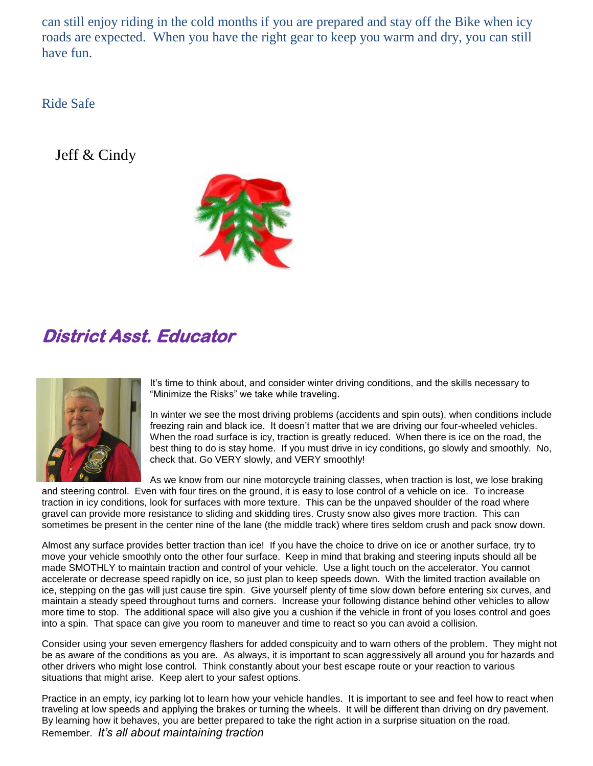can still enjoy riding in the cold months if you are prepared and stay off the Bike when icy roads are expected. When you have the right gear to keep you warm and dry, you can still have fun.

### Ride Safe

Jeff  $&$  Cindy



### **District Asst. Educator**



It's time to think about, and consider winter driving conditions, and the skills necessary to "Minimize the Risks" we take while traveling.

In winter we see the most driving problems (accidents and spin outs), when conditions include freezing rain and black ice. It doesn't matter that we are driving our four-wheeled vehicles. When the road surface is icy, traction is greatly reduced. When there is ice on the road, the best thing to do is stay home. If you must drive in icy conditions, go slowly and smoothly. No, check that. Go VERY slowly, and VERY smoothly!

As we know from our nine motorcycle training classes, when traction is lost, we lose braking

and steering control. Even with four tires on the ground, it is easy to lose control of a vehicle on ice. To increase traction in icy conditions, look for surfaces with more texture. This can be the unpaved shoulder of the road where gravel can provide more resistance to sliding and skidding tires. Crusty snow also gives more traction. This can sometimes be present in the center nine of the lane (the middle track) where tires seldom crush and pack snow down.

Almost any surface provides better traction than ice! If you have the choice to drive on ice or another surface, try to move your vehicle smoothly onto the other four surface. Keep in mind that braking and steering inputs should all be made SMOTHLY to maintain traction and control of your vehicle. Use a light touch on the accelerator. You cannot accelerate or decrease speed rapidly on ice, so just plan to keep speeds down. With the limited traction available on ice, stepping on the gas will just cause tire spin. Give yourself plenty of time slow down before entering six curves, and maintain a steady speed throughout turns and corners. Increase your following distance behind other vehicles to allow more time to stop. The additional space will also give you a cushion if the vehicle in front of you loses control and goes into a spin. That space can give you room to maneuver and time to react so you can avoid a collision.

Consider using your seven emergency flashers for added conspicuity and to warn others of the problem. They might not be as aware of the conditions as you are. As always, it is important to scan aggressively all around you for hazards and other drivers who might lose control. Think constantly about your best escape route or your reaction to various situations that might arise. Keep alert to your safest options.

Practice in an empty, icy parking lot to learn how your vehicle handles. It is important to see and feel how to react when traveling at low speeds and applying the brakes or turning the wheels. It will be different than driving on dry pavement. By learning how it behaves, you are better prepared to take the right action in a surprise situation on the road. Remember. *It's all about maintaining traction*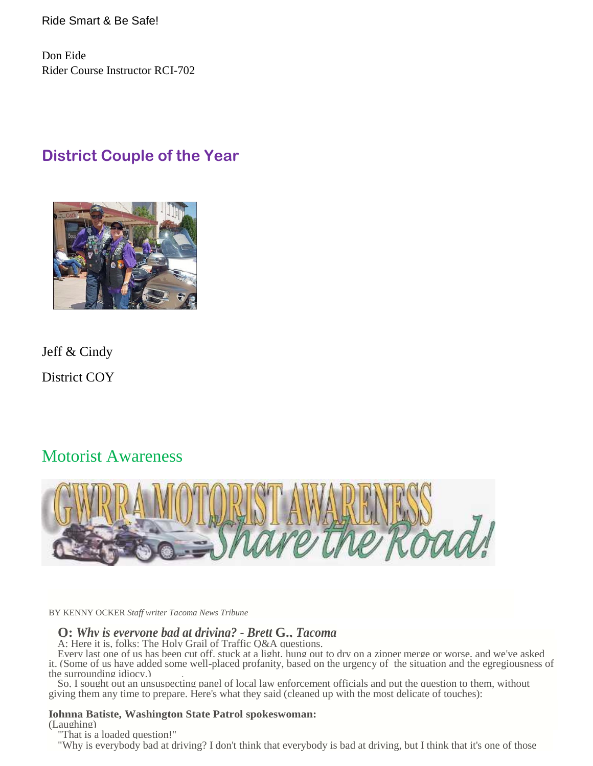Ride Smart & Be Safe!

Don Eide Rider Course Instructor RCI-702

### **District Couple of the Year**



Jeff & Cindy District COY

### Motorist Awareness



BY KENNY OCKER *Staff writer Tacoma News Tribune*

#### **Q:** *Why is everyone bad at driving?* **-** *Brett* **G.,** *Tacoma*

A: Here it is, folks: The Holy Grail of Traffic Q&A questions.

Every last one of us has been cut off, stuck at a light, hung out to dry on a zipper merge or worse, and we've asked it. (Some of us have added some well-placed profanity, based on the urgency of the situation and the egregiousness of the surrounding idiocy.)

So, I sought out an unsuspecting panel of local law enforcement officials and put the question to them, without giving them any time to prepare. Here's what they said (cleaned up with the most delicate of touches):

#### **Iohnna Batiste, Washington State Patrol spokeswoman:**

(Laughing)

"That is a loaded question!"

"Why is everybody bad at driving? I don't think that everybody is bad at driving, but I think that it's one of those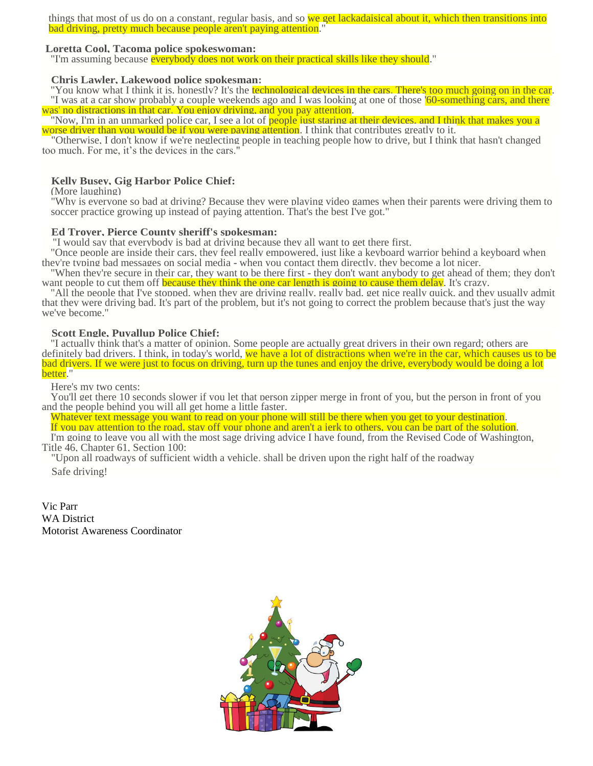things that most of us do on a constant, regular basis, and so we get lackadaisical about it, which then transitions into bad driving, pretty much because people aren't paying attention."

#### **Loretta Cool, Tacoma police spokeswoman:**

"I'm assuming because everybody does not work on their practical skills like they should."

#### **Chris Lawler, Lakewood police spokesman:**

"You know what I think it is, honestly? It's the technological devices in the cars. There's too much going on in the car. "I was at a car show probably a couple weekends ago and I was looking at one of those '60-something cars, and there was' no distractions in that car. You enjoy driving, and you pay attention.

"Now, I'm in an unmarked police car, I see a lot of people just staring at their devices, and I think that makes you a worse driver than you would be if you were paying attention. I think that contributes greatly to it.

"Otherwise, I don't know if we're neglecting people in teaching people how to drive, but I think that hasn't changed too much. For me, it's the devices in the cars."

#### **Kelly Busey, Gig Harbor Police Chief:**

(More laughing)

"Why is everyone so bad at driving? Because they were playing video games when their parents were driving them to soccer practice growing up instead of paying attention. That's the best I've got."

#### **Ed Troyer, Pierce County sheriff's spokesman:**

"I would say that everybody is bad at driving because they all want to get there first.

"Once people are inside their cars, they feel really empowered, just like a keyboard warrior behind a keyboard when they're typing bad messages on social media - when you contact them directly, they become a lot nicer.

"When they're secure in their car, they want to be there first - they don't want anybody to get ahead of them; they don't want people to cut them off because they think the one car length is going to cause them delay. It's crazy.

"All the people that I've stopped, when they are driving really, really bad, get nice really quick, and they usually admit that they were driving bad. It's part of the problem, but it's not going to correct the problem because that's just the way we've become."

#### **Scott Engle, Puyallup Police Chief:**

"I actually think that's a matter of opinion. Some people are actually great drivers in their own regard; others are definitely bad drivers. I think, in today's world, we have a lot of distractions when we're in the car, which causes us to be bad drivers. If we were just to focus on driving, turn up the tunes and enjoy the drive, everybody would be doing a lot better."

Here's my two cents:

You'll get there 10 seconds slower if you let that person zipper merge in front of you, but the person in front of you and the people behind you will all get home a little faster.

Whatever text message you want to read on your phone will still be there when you get to your destination. If you pay attention to the road, stay off your phone and aren't a jerk to others, you can be part of the solution.

I'm going to leave you all with the most sage driving advice I have found, from the Revised Code of Washington, Title 46, Chapter 61, Section 100:

"Upon all roadways of sufficient width a vehicle. shall be driven upon the right half of the roadway Safe driving!

Vic Parr WA District Motorist Awareness Coordinator

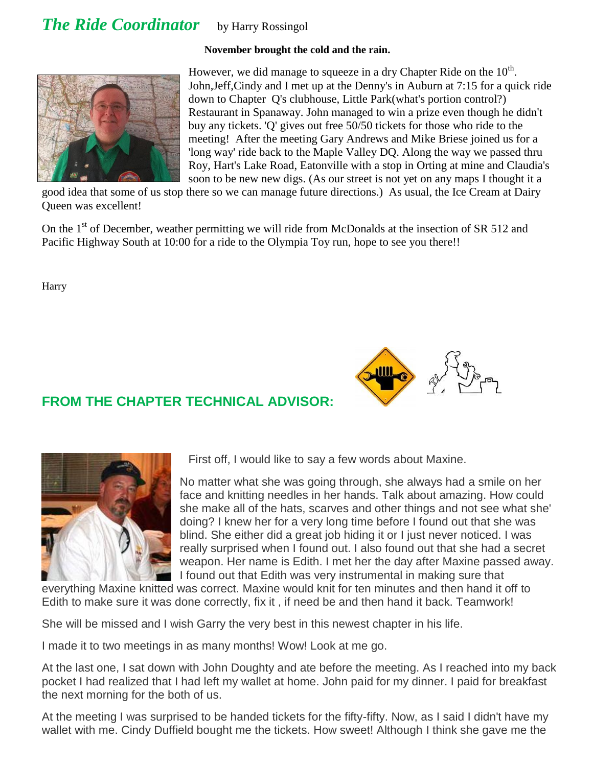### **The Ride Coordinator** by Harry Rossingol

#### **November brought the cold and the rain.**



However, we did manage to squeeze in a dry Chapter Ride on the  $10<sup>th</sup>$ . John,Jeff,Cindy and I met up at the Denny's in Auburn at 7:15 for a quick ride down to Chapter Q's clubhouse, Little Park(what's portion control?) Restaurant in Spanaway. John managed to win a prize even though he didn't buy any tickets. 'Q' gives out free 50/50 tickets for those who ride to the meeting! After the meeting Gary Andrews and Mike Briese joined us for a 'long way' ride back to the Maple Valley DQ. Along the way we passed thru Roy, Hart's Lake Road, Eatonville with a stop in Orting at mine and Claudia's soon to be new new digs. (As our street is not yet on any maps I thought it a

good idea that some of us stop there so we can manage future directions.) As usual, the Ice Cream at Dairy Queen was excellent!

On the 1<sup>st</sup> of December, weather permitting we will ride from McDonalds at the insection of SR 512 and Pacific Highway South at 10:00 for a ride to the Olympia Toy run, hope to see you there!!

**Harry** 



### **FROM THE CHAPTER TECHNICAL ADVISOR:**



First off, I would like to say a few words about Maxine.

No matter what she was going through, she always had a smile on her face and knitting needles in her hands. Talk about amazing. How could she make all of the hats, scarves and other things and not see what she' doing? I knew her for a very long time before I found out that she was blind. She either did a great job hiding it or I just never noticed. I was really surprised when I found out. I also found out that she had a secret weapon. Her name is Edith. I met her the day after Maxine passed away. I found out that Edith was very instrumental in making sure that

everything Maxine knitted was correct. Maxine would knit for ten minutes and then hand it off to Edith to make sure it was done correctly, fix it , if need be and then hand it back. Teamwork!

She will be missed and I wish Garry the very best in this newest chapter in his life.

I made it to two meetings in as many months! Wow! Look at me go.

At the last one, I sat down with John Doughty and ate before the meeting. As I reached into my back pocket I had realized that I had left my wallet at home. John paid for my dinner. I paid for breakfast the next morning for the both of us.

At the meeting I was surprised to be handed tickets for the fifty-fifty. Now, as I said I didn't have my wallet with me. Cindy Duffield bought me the tickets. How sweet! Although I think she gave me the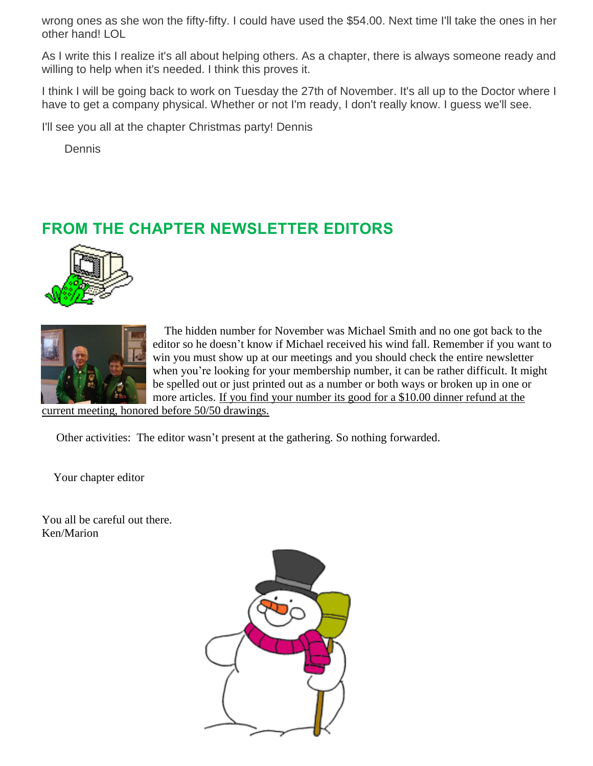wrong ones as she won the fifty-fifty. I could have used the \$54.00. Next time I'll take the ones in her other hand! LOL

As I write this I realize it's all about helping others. As a chapter, there is always someone ready and willing to help when it's needed. I think this proves it.

I think I will be going back to work on Tuesday the 27th of November. It's all up to the Doctor where I have to get a company physical. Whether or not I'm ready, I don't really know. I guess we'll see.

I'll see you all at the chapter Christmas party! Dennis

**Dennis** 

### **FROM THE CHAPTER NEWSLETTER EDITORS**





 The hidden number for November was Michael Smith and no one got back to the editor so he doesn't know if Michael received his wind fall. Remember if you want to win you must show up at our meetings and you should check the entire newsletter when you're looking for your membership number, it can be rather difficult. It might be spelled out or just printed out as a number or both ways or broken up in one or more articles. If you find your number its good for a \$10.00 dinner refund at the

current meeting, honored before 50/50 drawings.

Other activities: The editor wasn't present at the gathering. So nothing forwarded.

Your chapter editor

You all be careful out there. Ken/Marion

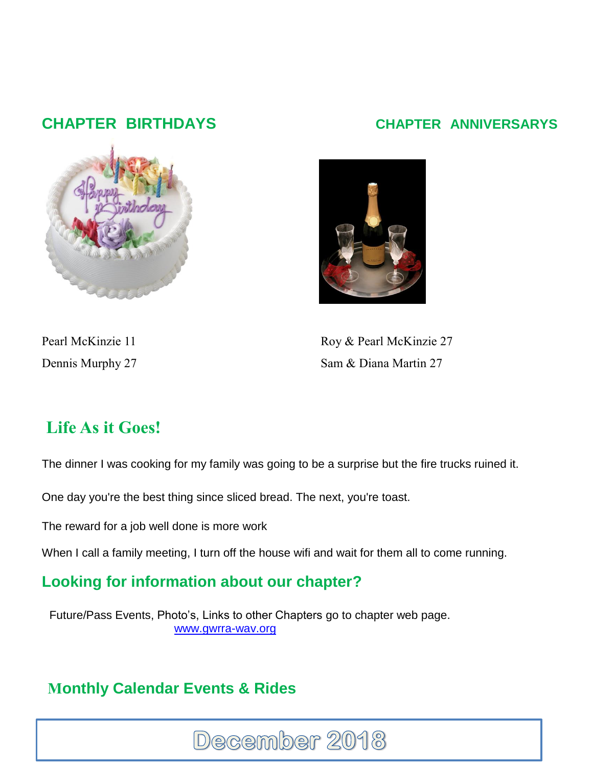

### **CHAPTER BIRTHDAYS CHAPTER ANNIVERSARYS**



Pearl McKinzie 11 Roy & Pearl McKinzie 27 Dennis Murphy 27 Sam & Diana Martin 27

### **Life As it Goes!**

The dinner I was cooking for my family was going to be a surprise but the fire trucks ruined it.

One day you're the best thing since sliced bread. The next, you're toast.

The reward for a job well done is more work

When I call a family meeting, I turn off the house wifi and wait for them all to come running.

December 2018

### **Looking for information about our chapter?**

Future/Pass Events, Photo's, Links to other Chapters go to chapter web page. [www.gwrra-wav.org](http://www.gwrra-wav.org/)

### **Monthly Calendar Events & Rides**